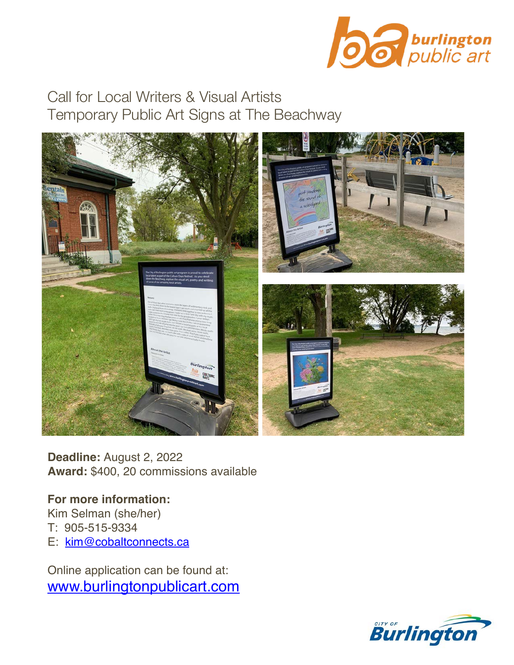

Call for Local Writers & Visual Artists Temporary Public Art Signs at The Beachway



**Deadline:** August 2, 2022 **Award:** \$400, 20 commissions available

**For more information:** Kim Selman (she/her) T: 905-515-9334 E: kim@cobaltconnects.ca

Online application can be found at: www.burlingtonpublicart.com

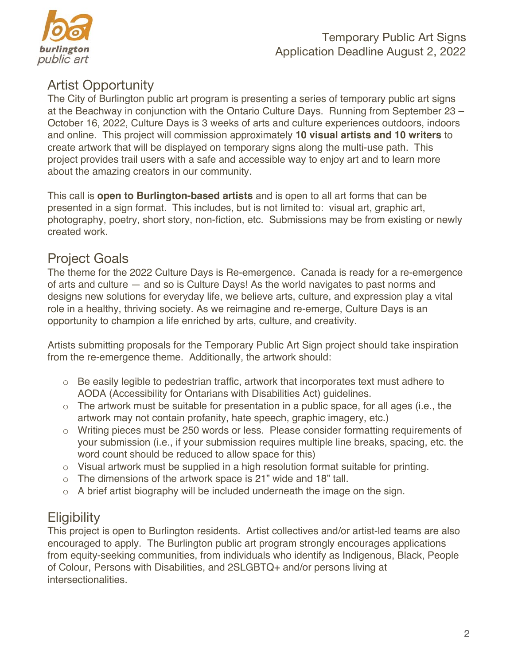

# Artist Opportunity

The City of Burlington public art program is presenting a series of temporary public art signs at the Beachway in conjunction with the Ontario Culture Days. Running from September 23 – October 16, 2022, Culture Days is 3 weeks of arts and culture experiences outdoors, indoors and online. This project will commission approximately **10 visual artists and 10 writers** to create artwork that will be displayed on temporary signs along the multi-use path. This project provides trail users with a safe and accessible way to enjoy art and to learn more about the amazing creators in our community.

This call is **open to Burlington-based artists** and is open to all art forms that can be presented in a sign format. This includes, but is not limited to: visual art, graphic art, photography, poetry, short story, non-fiction, etc. Submissions may be from existing or newly created work.

#### Project Goals

The theme for the 2022 Culture Days is Re-emergence. Canada is ready for a re-emergence of arts and culture — and so is Culture Days! As the world navigates to past norms and designs new solutions for everyday life, we believe arts, culture, and expression play a vital role in a healthy, thriving society. As we reimagine and re-emerge, Culture Days is an opportunity to champion a life enriched by arts, culture, and creativity.

Artists submitting proposals for the Temporary Public Art Sign project should take inspiration from the re-emergence theme. Additionally, the artwork should:

- $\circ$  Be easily legible to pedestrian traffic, artwork that incorporates text must adhere to AODA (Accessibility for Ontarians with Disabilities Act) guidelines.
- o The artwork must be suitable for presentation in a public space, for all ages (i.e., the artwork may not contain profanity, hate speech, graphic imagery, etc.)
- o Writing pieces must be 250 words or less. Please consider formatting requirements of your submission (i.e., if your submission requires multiple line breaks, spacing, etc. the word count should be reduced to allow space for this)
- o Visual artwork must be supplied in a high resolution format suitable for printing.
- o The dimensions of the artwork space is 21" wide and 18" tall.
- o A brief artist biography will be included underneath the image on the sign.

# **Eligibility**

This project is open to Burlington residents. Artist collectives and/or artist-led teams are also encouraged to apply. The Burlington public art program strongly encourages applications from equity-seeking communities, from individuals who identify as Indigenous, Black, People of Colour, Persons with Disabilities, and 2SLGBTQ+ and/or persons living at intersectionalities.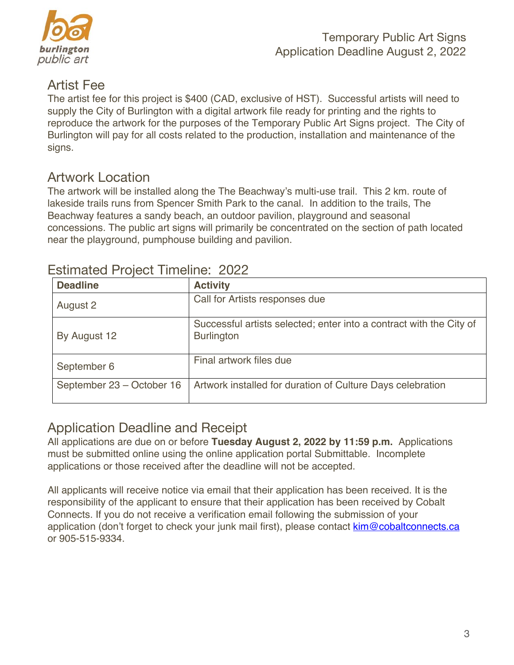

#### Artist Fee

The artist fee for this project is \$400 (CAD, exclusive of HST). Successful artists will need to supply the City of Burlington with a digital artwork file ready for printing and the rights to reproduce the artwork for the purposes of the Temporary Public Art Signs project. The City of Burlington will pay for all costs related to the production, installation and maintenance of the signs.

## Artwork Location

The artwork will be installed along the The Beachway's multi-use trail. This 2 km. route of lakeside trails runs from Spencer Smith Park to the canal. In addition to the trails, The Beachway features a sandy beach, an outdoor pavilion, playground and seasonal concessions. The public art signs will primarily be concentrated on the section of path located near the playground, pumphouse building and pavilion.

| <b>Deadline</b>           | <b>Activity</b>                                                                          |
|---------------------------|------------------------------------------------------------------------------------------|
| August 2                  | Call for Artists responses due                                                           |
| By August 12              | Successful artists selected; enter into a contract with the City of<br><b>Burlington</b> |
| September 6               | Final artwork files due                                                                  |
| September 23 – October 16 | Artwork installed for duration of Culture Days celebration                               |

## Estimated Project Timeline: 2022

# Application Deadline and Receipt

All applications are due on or before **Tuesday August 2, 2022 by 11:59 p.m.** Applications must be submitted online using the online application portal Submittable.Incomplete applications or those received after the deadline will not be accepted.

All applicants will receive notice via email that their application has been received. It is the responsibility of the applicant to ensure that their application has been received by Cobalt Connects. If you do not receive a verification email following the submission of your application (don't forget to check your junk mail first), please contact kim@cobaltconnects.ca or 905-515-9334.